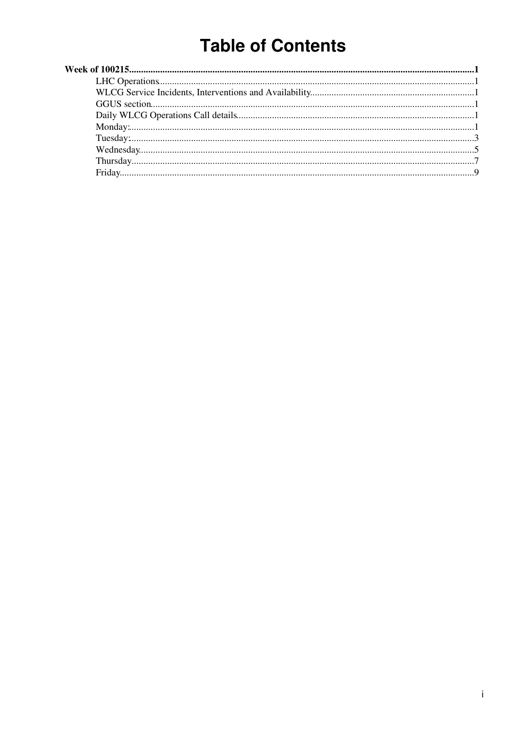# **Table of Contents**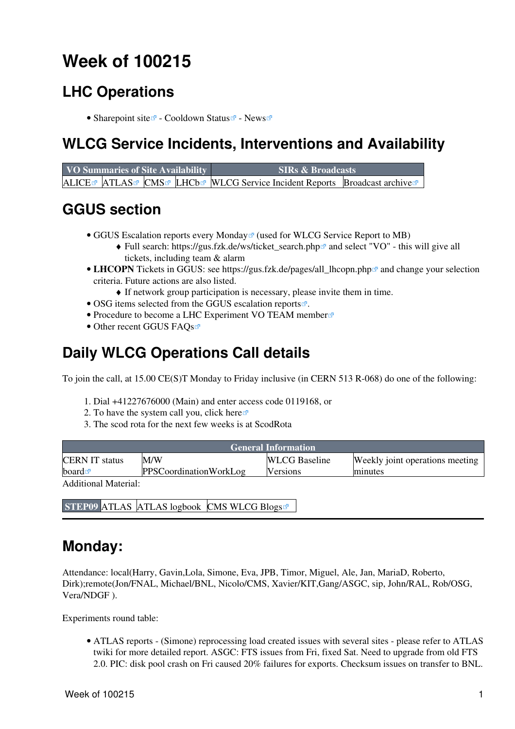# <span id="page-1-0"></span>**Week of 100215**

## <span id="page-1-1"></span>**LHC Operations**

• [Sharepoint site](https://espace.cern.ch/be-dep-op-lhc-machine-operation/default.aspx)  $\mathbb{Z}$  - [Cooldown Status](http://lhc.web.cern.ch/lhc/)  $\mathbb{Z}$  - [News](http://lhc.web.cern.ch/lhc/News.htm)  $\mathbb{Z}$ 

### <span id="page-1-2"></span>**WLCG Service Incidents, Interventions and Availability**

| VO Summaries of Site Availability |  |  | <b>SIRs &amp; Broadcasts</b>                                              |  |  |
|-----------------------------------|--|--|---------------------------------------------------------------------------|--|--|
|                                   |  |  | ALICE™ ATLAS™ CMS™ LHCb™ WLCG Service Incident Reports Broadcast archive™ |  |  |

# <span id="page-1-3"></span>**GGUS section**

- GGUS Escalation reports every Monday<sup>®</sup> (used for WLCG Service Report to MB)
	- ◆ Full search: [https://gus.fzk.de/ws/ticket\\_search.php](https://gus.fzk.de/ws/ticket_search.php)<sup>{{}}</sup> and select "VO" this will give all tickets, including team & alarm
- LHCOPN Tickets in GGUS: see https://gus.fzk.de/pages/all\_lhcopn.php<sup>a</sup> and change your selection criteria. Future actions are also listed.
	- ♦ If network group participation is necessary, please invite them in time.
- OSG items selected from the [GGUS escalation reports](https://gus.fzk.de/pages/metrics/download_escalation_reports_roc.php) $\vec{r}$ .
- [Procedure to become a LHC Experiment VO TEAM member](https://gus.fzk.de/pages/ggus-docs/PDF/1541_FAQ_for_team_member_registration.pdf)
- Other recent [GGUS FAQs](https://gus.fzk.de/pages/faq.php)

## <span id="page-1-4"></span>**Daily WLCG Operations Call details**

To join the call, at 15.00 CE(S)T Monday to Friday inclusive (in CERN 513 R-068) do one of the following:

- 1. Dial +41227676000 (Main) and enter access code 0119168, or
- 2. To have the system call you, click [here](https://audioconf.cern.ch/call/0119168)  $\Phi$
- 3. The scod rota for the next few weeks is at [ScodRota](https://twiki.cern.ch/twiki/bin/view/LCG/ScodRota)

| <b>General Information</b> |                               |                      |                                 |  |  |  |  |  |
|----------------------------|-------------------------------|----------------------|---------------------------------|--|--|--|--|--|
| <b>CERN IT status</b>      | M/W                           | <b>WLCG</b> Baseline | Weekly joint operations meeting |  |  |  |  |  |
| board $\blacksquare$       | <b>PPSCoordinationWorkLog</b> | <b>Versions</b>      | minutes                         |  |  |  |  |  |
| Additional Material:       |                               |                      |                                 |  |  |  |  |  |

**STEP09** [ATLAS](https://twiki.cern.ch/twiki/bin/view/Atlas/Step09) [ATLAS logbook](https://twiki.cern.ch/twiki/bin/view/Atlas/Step09Logbook) [CMS](https://twiki.cern.ch/twiki/bin/view/CMS/Step09) [WLCG Blogs](http://cern.ch/planet-wlcg)<sup>®</sup>

### <span id="page-1-5"></span>**Monday:**

Attendance: local(Harry, Gavin,Lola, Simone, Eva, JPB, Timor, Miguel, Ale, Jan, [MariaD](https://twiki.cern.ch/twiki/bin/edit/LCG/MariaD?topicparent=LCG.WLCGDailyMeetingsWeek100215;nowysiwyg=1), Roberto, Dirk);remote(Jon/FNAL, Michael/BNL, Nicolo/CMS, Xavier/KIT,Gang/ASGC, sip, John/RAL, Rob/OSG, Vera/NDGF ).

Experiments round table:

ATLAS [reports](https://twiki.cern.ch/twiki/bin/view/Atlas/ADCOperationsDailyReports) - (Simone) reprocessing load created issues with several sites - please refer to ATLAS • twiki for more detailed report. ASGC: FTS issues from Fri, fixed Sat. Need to upgrade from old FTS 2.0. PIC: disk pool crash on Fri caused 20% failures for exports. Checksum issues on transfer to BNL.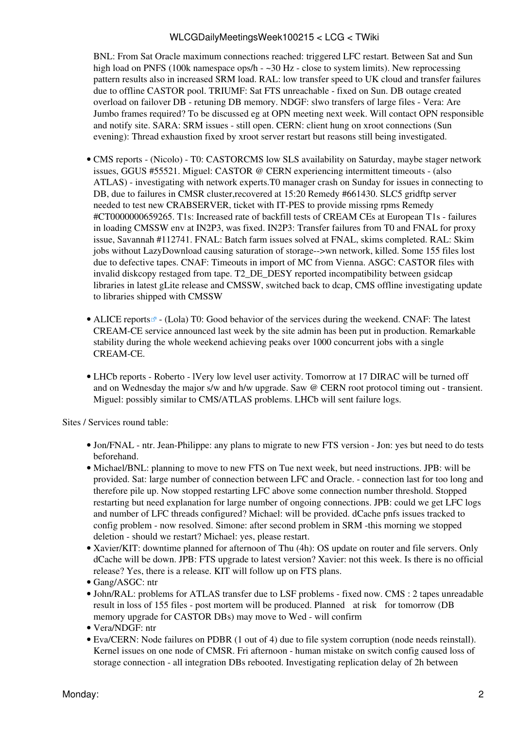BNL: From Sat Oracle maximum connections reached: triggered LFC restart. Between Sat and Sun high load on PNFS (100k namespace ops/h -  $\sim$ 30 Hz - close to system limits). New reprocessing pattern results also in increased SRM load. [RAL](https://twiki.cern.ch/twiki/bin/view/LCG/RAL): low transfer speed to UK cloud and transfer failures due to offline CASTOR pool. TRIUMF: Sat FTS unreachable - fixed on Sun. DB outage created overload on failover DB - retuning DB memory. NDGF: slwo transfers of large files - Vera: Are Jumbo frames required? To be discussed eg at OPN meeting next week. Will contact OPN responsible and notify site. SARA: SRM issues - still open. CERN: client hung on xroot connections (Sun evening): Thread exhaustion fixed by xroot server restart but reasons still being investigated.

- CMS [reports](https://twiki.cern.ch/twiki/bin/view/CMS/FacOps_WLCGdailyreports) (Nicolo) T0: CASTORCMS low SLS availability on Saturday, maybe stager network issues, GGUS #55521. Miguel: CASTOR @ CERN experiencing intermittent timeouts - (also ATLAS) - investigating with network experts.T0 manager crash on Sunday for issues in connecting to DB, due to failures in CMSR cluster,recovered at 15:20 Remedy #661430. SLC5 gridftp server needed to test new CRABSERVER, ticket with IT-PES to provide missing rpms Remedy #CT0000000659265. T1s: Increased rate of backfill tests of [CREAM](https://twiki.cern.ch/twiki/bin/view/LCG/CREAM) CEs at European T1s - failures in loading CMSSW env at [IN2P3,](https://twiki.cern.ch/twiki/bin/view/LCG/IN2P3) was fixed. [IN2P3:](https://twiki.cern.ch/twiki/bin/view/LCG/IN2P3) Transfer failures from T0 and FNAL for proxy issue, Savannah #112741. FNAL: Batch farm issues solved at FNAL, skims completed. [RAL:](https://twiki.cern.ch/twiki/bin/view/LCG/RAL) Skim jobs without [LazyDownload](https://twiki.cern.ch/twiki/bin/edit/LCG/LazyDownload?topicparent=LCG.WLCGDailyMeetingsWeek100215;nowysiwyg=1) causing saturation of storage-->wn network, killed. Some 155 files lost due to defective tapes. CNAF: Timeouts in import of MC from Vienna. ASGC: CASTOR files with invalid diskcopy restaged from tape. T2\_DE\_DESY reported incompatibility between gsidcap libraries in latest gLite release and CMSSW, switched back to dcap, CMS offline investigating update to libraries shipped with CMSSW
- ALICE [reports](http://alien2.cern.ch/index.php?option=com_content&view=article&id=68&Itemid=119)<sup>®</sup> (Lola) T0: Good behavior of the services during the weekend. CNAF: The latest [CREAM](https://twiki.cern.ch/twiki/bin/view/LCG/CREAM)-CE service announced last week by the site admin has been put in production. Remarkable stability during the whole weekend achieving peaks over 1000 concurrent jobs with a single [CREAM](https://twiki.cern.ch/twiki/bin/view/LCG/CREAM)-CE.
- LHCb [reports](https://twiki.cern.ch/twiki/bin/view/LHCb/ProductionOperationsWLCGdailyReports)  Roberto IVery low level user activity. Tomorrow at 17 DIRAC will be turned off and on Wednesday the major s/w and h/w upgrade. Saw @ CERN root protocol timing out - transient. Miguel: possibly similar to CMS/ATLAS problems. LHCb will sent failure logs.

- Jon/FNAL ntr. Jean-Philippe: any plans to migrate to new FTS version Jon: yes but need to do tests beforehand.
- Michael/BNL: planning to move to new FTS on Tue next week, but need instructions. JPB: will be provided. Sat: large number of connection between LFC and Oracle. - connection last for too long and therefore pile up. Now stopped restarting LFC above some connection number threshold. Stopped restarting but need explanation for large number of ongoing connections. JPB: could we get LFC logs and number of LFC threads configured? Michael: will be provided. dCache pnfs issues tracked to config problem - now resolved. Simone: after second problem in SRM -this morning we stopped deletion - should we restart? Michael: yes, please restart.
- Xavier/KIT: downtime planned for afternoon of Thu (4h): OS update on router and file servers. Only dCache will be down. JPB: FTS upgrade to latest version? Xavier: not this week. Is there is no official release? Yes, there is a release. KIT will follow up on FTS plans.
- Gang/ASGC: ntr
- John/RAL: problems for ATLAS transfer due to [LSF](https://twiki.cern.ch/twiki/bin/view/LCG/LSF) problems fixed now. CMS : 2 tapes unreadable result in loss of 155 files - post mortem will be produced. Planned at risk for tomorrow (DB memory upgrade for CASTOR DBs) may move to Wed - will confirm
- Vera/NDGF: ntr
- Eva/CERN: Node failures on PDBR (1 out of 4) due to file system corruption (node needs reinstall). Kernel issues on one node of CMSR. Fri afternoon - human mistake on switch config caused loss of storage connection - all integration DBs rebooted. Investigating replication delay of 2h between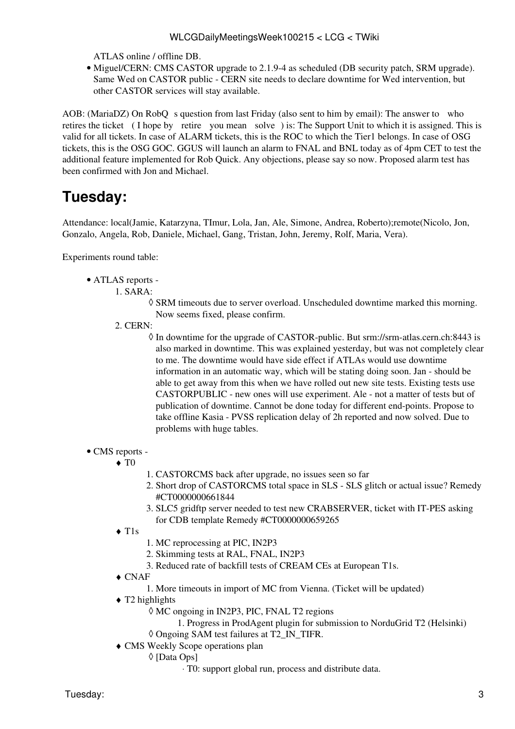ATLAS online / offline DB.

• Miguel/CERN: CMS CASTOR upgrade to 2.1.9-4 as scheduled (DB security patch, SRM upgrade). Same Wed on CASTOR public - CERN site needs to declare downtime for Wed intervention, but other CASTOR services will stay available.

AOB: ([MariaDZ\)](https://twiki.cern.ch/twiki/bin/edit/LCG/MariaDZ?topicparent=LCG.WLCGDailyMeetingsWeek100215;nowysiwyg=1) On RobO s question from last Friday (also sent to him by email): The answer to who retires the ticket ( I hope by retire you mean solve) is: The Support Unit to which it is assigned. This is valid for all tickets. In case of ALARM tickets, this is the ROC to which the Tier1 belongs. In case of OSG tickets, this is the OSG GOC. GGUS will launch an alarm to FNAL and BNL today as of 4pm CET to test the additional feature implemented for Rob Quick. Any objections, please say so now. Proposed alarm test has been confirmed with Jon and Michael.

# <span id="page-3-0"></span>**Tuesday:**

Attendance: local(Jamie, Katarzyna, TImur, Lola, Jan, Ale, Simone, Andrea, Roberto);remote(Nicolo, Jon, Gonzalo, Angela, Rob, Daniele, Michael, Gang, Tristan, John, Jeremy, Rolf, Maria, Vera).

Experiments round table:

- ATLAS [reports](https://twiki.cern.ch/twiki/bin/view/Atlas/ADCOperationsDailyReports)  •
	- SARA: 1.
		- SRM timeouts due to server overload. Unscheduled downtime marked this morning. ◊ Now seems fixed, please confirm.
		- 2. CERN:
			- ◊ In downtime for the upgrade of CASTOR-public. But srm://srm-atlas.cern.ch:8443 is also marked in downtime. This was explained yesterday, but was not completely clear to me. The downtime would have side effect if ATLAs would use downtime information in an automatic way, which will be stating doing soon. Jan - should be able to get away from this when we have rolled out new site tests. Existing tests use CASTORPUBLIC - new ones will use experiment. Ale - not a matter of tests but of publication of downtime. Cannot be done today for different end-points. Propose to take offline Kasia - PVSS replication delay of 2h reported and now solved. Due to problems with huge tables.

#### • CMS [reports](https://twiki.cern.ch/twiki/bin/view/CMS/FacOps_WLCGdailyreports) -

- $\blacklozenge$  T<sub>0</sub>
- 1. CASTORCMS back after upgrade, no issues seen so far
- 2. Short drop of CASTORCMS total space in SLS SLS glitch or actual issue? Remedy #CT0000000661844
- SLC5 gridftp server needed to test new CRABSERVER, ticket with IT-PES asking 3. for CDB template Remedy #CT0000000659265
- T1s ♦
- 1. MC reprocessing at PIC, [IN2P3](https://twiki.cern.ch/twiki/bin/view/LCG/IN2P3)
- 2. Skimming tests at [RAL,](https://twiki.cern.ch/twiki/bin/view/LCG/RAL) FNAL, [IN2P3](https://twiki.cern.ch/twiki/bin/view/LCG/IN2P3)
- 3. Reduced rate of backfill tests of [CREAM](https://twiki.cern.ch/twiki/bin/view/LCG/CREAM) CEs at European T1s.
- CNAF ♦
	- 1. More timeouts in import of MC from Vienna. (Ticket will be updated)
- T2 highlights ♦
	- MC ongoing in [IN2P3,](https://twiki.cern.ch/twiki/bin/view/LCG/IN2P3) PIC, FNAL T2 regions ◊
		- 1. Progress in [ProdAgent](https://twiki.cern.ch/twiki/bin/edit/LCG/ProdAgent?topicparent=LCG.WLCGDailyMeetingsWeek100215;nowysiwyg=1) plugin for submission to [NorduGrid](https://twiki.cern.ch/twiki/bin/edit/LCG/NorduGrid?topicparent=LCG.WLCGDailyMeetingsWeek100215;nowysiwyg=1) T2 (Helsinki)
	- ◊ Ongoing SAM test failures at T2\_IN\_TIFR.
- CMS Weekly Scope operations plan ♦
	- [Data Ops] ◊
		- ⋅ T0: support global run, process and distribute data.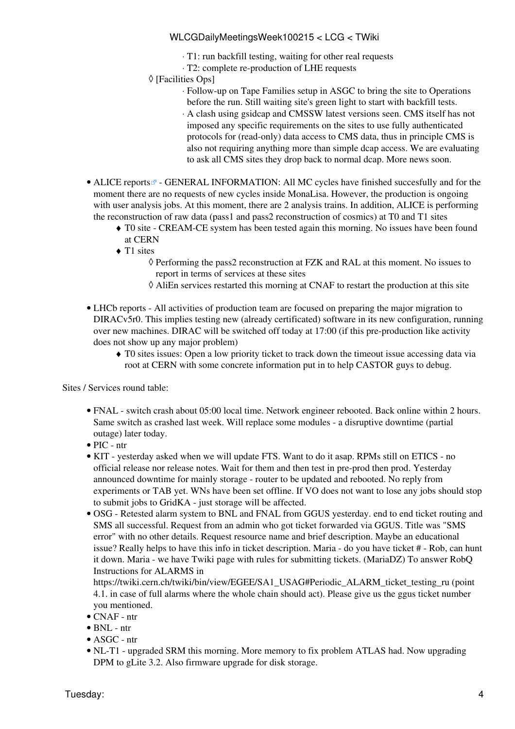- ⋅ T1: run backfill testing, waiting for other real requests
- ⋅ T2: complete re-production of LHE requests
- [Facilities Ops] ◊
	- Follow-up on Tape Families setup in ASGC to bring the site to Operations ⋅ before the run. Still waiting site's green light to start with backfill tests.
	- A clash using gsidcap and CMSSW latest versions seen. CMS itself has not ⋅ imposed any specific requirements on the sites to use fully authenticated protocols for (read-only) data access to CMS data, thus in principle CMS is also not requiring anything more than simple dcap access. We are evaluating to ask all CMS sites they drop back to normal dcap. More news soon.
- ALICE [reports](http://alien2.cern.ch/index.php?option=com_content&view=article&id=68&Itemid=119)<sup>®</sup> GENERAL INFORMATION: All MC cycles have finished succesfully and for the moment there are no requests of new cycles inside [MonaLisa](https://twiki.cern.ch/twiki/bin/edit/LCG/MonaLisa?topicparent=LCG.WLCGDailyMeetingsWeek100215;nowysiwyg=1). However, the production is ongoing with user analysis jobs. At this moment, there are 2 analysis trains. In addition, ALICE is performing the reconstruction of raw data (pass1 and pass2 reconstruction of cosmics) at T0 and T1 sites
	- T0 site - [CREAM](https://twiki.cern.ch/twiki/bin/view/LCG/CREAM)-CE system has been tested again this morning. No issues have been found ♦ at CERN
	- ◆ T1 sites
		- ◊ Performing the pass2 reconstruction at FZK and [RAL](https://twiki.cern.ch/twiki/bin/view/LCG/RAL) at this moment. No issues to report in terms of services at these sites
		- ◊ [AliEn](https://twiki.cern.ch/twiki/bin/edit/LCG/AliEn?topicparent=LCG.WLCGDailyMeetingsWeek100215;nowysiwyg=1) services restarted this morning at CNAF to restart the production at this site
- LHCb [reports](https://twiki.cern.ch/twiki/bin/view/LHCb/ProductionOperationsWLCGdailyReports)  All activities of production team are focused on preparing the major migration to DIRACv5r0. This implies testing new (already certificated) software in its new configuration, running over new machines. DIRAC will be switched off today at 17:00 (if this pre-production like activity does not show up any major problem)
	- T0 sites issues: Open a low priority ticket to track down the timeout issue accessing data via ♦ root at CERN with some concrete information put in to help CASTOR guys to debug.

Sites / Services round table:

- FNAL switch crash about 05:00 local time. Network engineer rebooted. Back online within 2 hours. Same switch as crashed last week. Will replace some modules - a disruptive downtime (partial outage) later today.
- PIC ntr
- KIT yesterday asked when we will update FTS. Want to do it asap. RPMs still on ETICS no official release nor release notes. Wait for them and then test in pre-prod then prod. Yesterday announced downtime for mainly storage - router to be updated and rebooted. No reply from experiments or TAB yet. WNs have been set offline. If VO does not want to lose any jobs should stop to submit jobs to [GridKA](https://twiki.cern.ch/twiki/bin/edit/LCG/GridKA?topicparent=LCG.WLCGDailyMeetingsWeek100215;nowysiwyg=1) - just storage will be affected.
- OSG Retested alarm system to BNL and FNAL from GGUS yesterday. end to end ticket routing and SMS all successful. Request from an admin who got ticket forwarded via GGUS. Title was "SMS error" with no other details. Request resource name and brief description. Maybe an educational issue? Really helps to have this info in ticket description. Maria - do you have ticket # - Rob, can hunt it down. Maria - we have Twiki page with rules for submitting tickets. ([MariaDZ](https://twiki.cern.ch/twiki/bin/edit/LCG/MariaDZ?topicparent=LCG.WLCGDailyMeetingsWeek100215;nowysiwyg=1)) To answer [RobQ](https://twiki.cern.ch/twiki/bin/edit/LCG/RobQ?topicparent=LCG.WLCGDailyMeetingsWeek100215;nowysiwyg=1) Instructions for ALARMS in

[https://twiki.cern.ch/twiki/bin/view/EGEE/SA1\\_USAG#Periodic\\_ALARM\\_ticket\\_testing\\_ru](https://twiki.cern.ch/twiki/bin/view/EGEE/SA1_USAG#Periodic_ALARM_ticket_testing_ru) (point 4.1. in case of full alarms where the whole chain should act). Please give us the ggus ticket number you mentioned.

- CNAF ntr
- BNL ntr
- ASGC ntr
- NL-T1 upgraded SRM this morning. More memory to fix problem ATLAS had. Now upgrading DPM to gLite 3.2. Also firmware upgrade for disk storage.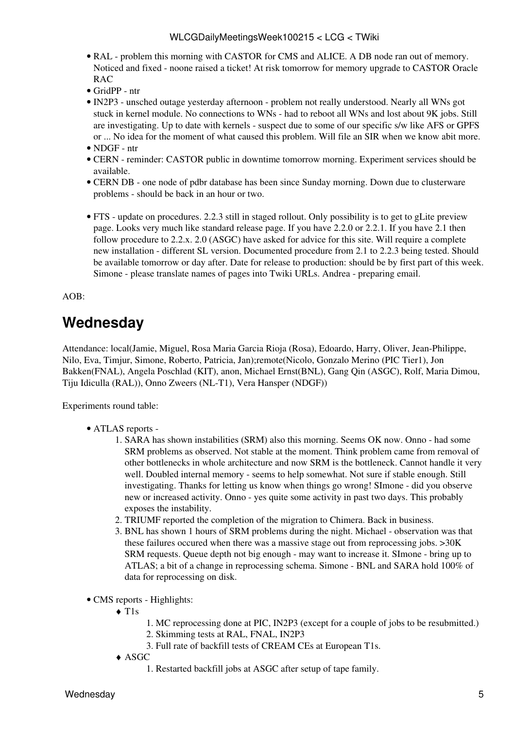- [RAL](https://twiki.cern.ch/twiki/bin/view/LCG/RAL) problem this morning with CASTOR for CMS and ALICE. A DB node ran out of memory. Noticed and fixed - noone raised a ticket! At risk tomorrow for memory upgrade to CASTOR Oracle RAC
- [GridPP](https://twiki.cern.ch/twiki/bin/view/LCG/GridPP) ntr
- [IN2P3](https://twiki.cern.ch/twiki/bin/view/LCG/IN2P3)  unsched outage yesterday afternoon problem not really understood. Nearly all WNs got stuck in kernel module. No connections to WNs - had to reboot all WNs and lost about 9K jobs. Still are investigating. Up to date with kernels - suspect due to some of our specific s/w like AFS or GPFS or ... No idea for the moment of what caused this problem. Will file an SIR when we know abit more.
- NDGF ntr
- CERN reminder: CASTOR public in downtime tomorrow morning. Experiment services should be available.
- CERN DB one node of pdbr database has been since Sunday morning. Down due to clusterware problems - should be back in an hour or two.
- FTS update on procedures. 2.2.3 still in staged rollout. Only possibility is to get to gLite preview page. Looks very much like standard release page. If you have 2.2.0 or 2.2.1. If you have 2.1 then follow procedure to 2.2.x. 2.0 (ASGC) have asked for advice for this site. Will require a complete new installation - different SL version. Documented procedure from 2.1 to 2.2.3 being tested. Should be available tomorrow or day after. Date for release to production: should be by first part of this week. Simone - please translate names of pages into Twiki URLs. Andrea - preparing email.

AOB:

### <span id="page-5-0"></span>**Wednesday**

Attendance: local(Jamie, Miguel, Rosa Maria Garcia Rioja (Rosa), Edoardo, Harry, Oliver, Jean-Philippe, Nilo, Eva, Timjur, Simone, Roberto, Patricia, Jan);remote(Nicolo, Gonzalo Merino (PIC Tier1), Jon Bakken(FNAL), Angela Poschlad (KIT), anon, Michael Ernst(BNL), Gang Qin (ASGC), Rolf, Maria Dimou, Tiju Idiculla [\(RAL](https://twiki.cern.ch/twiki/bin/view/LCG/RAL))), Onno Zweers (NL-T1), Vera Hansper (NDGF))

Experiments round table:

- ATLAS [reports](https://twiki.cern.ch/twiki/bin/view/Atlas/ADCOperationsDailyReports)  •
	- 1. SARA has shown instabilities (SRM) also this morning. Seems OK now. Onno had some SRM problems as observed. Not stable at the moment. Think problem came from removal of other bottlenecks in whole architecture and now SRM is the bottleneck. Cannot handle it very well. Doubled internal memory - seems to help somewhat. Not sure if stable enough. Still investigating. Thanks for letting us know when things go wrong! SImone - did you observe new or increased activity. Onno - yes quite some activity in past two days. This probably exposes the instability.
	- 2. TRIUMF reported the completion of the migration to Chimera. Back in business.
	- 3. BNL has shown 1 hours of SRM problems during the night. Michael observation was that these failures occured when there was a massive stage out from reprocessing jobs. >30K SRM requests. Queue depth not big enough - may want to increase it. SImone - bring up to ATLAS; a bit of a change in reprocessing schema. Simone - BNL and SARA hold 100% of data for reprocessing on disk.
- CMS [reports](https://twiki.cern.ch/twiki/bin/view/CMS/FacOps_WLCGdailyreports) Highlights:
	- T1s ♦
- 1. MC reprocessing done at PIC, [IN2P3](https://twiki.cern.ch/twiki/bin/view/LCG/IN2P3) (except for a couple of jobs to be resubmitted.)
- 2. Skimming tests at [RAL,](https://twiki.cern.ch/twiki/bin/view/LCG/RAL) FNAL, [IN2P3](https://twiki.cern.ch/twiki/bin/view/LCG/IN2P3)
- 3. Full rate of backfill tests of [CREAM](https://twiki.cern.ch/twiki/bin/view/LCG/CREAM) CEs at European T1s.
- ASGC ♦
	- 1. Restarted backfill jobs at ASGC after setup of tape family.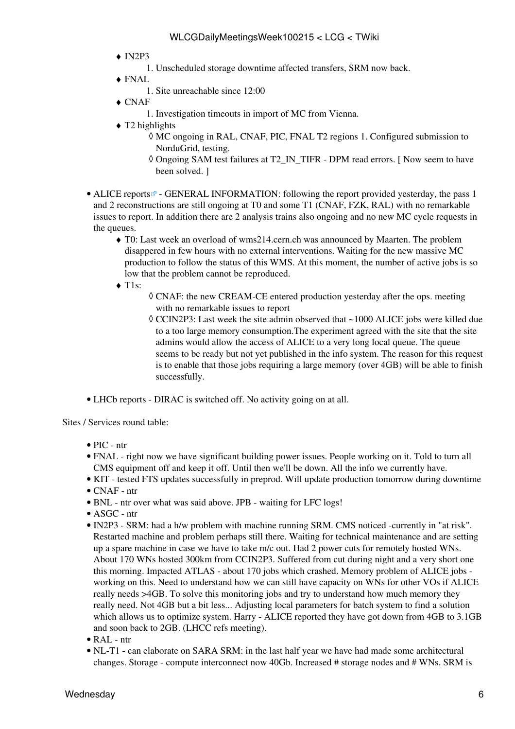- $\triangleleft$  [IN2P3](https://twiki.cern.ch/twiki/bin/view/LCG/IN2P3)
	- 1. Unscheduled storage downtime affected transfers, SRM now back.
- FNAL ♦
	- 1. Site unreachable since 12:00
- CNAF ♦
	- 1. Investigation timeouts in import of MC from Vienna.
- ◆ T2 highlights
	- MC ongoing in [RAL,](https://twiki.cern.ch/twiki/bin/view/LCG/RAL) CNAF, PIC, FNAL T2 regions 1. Configured submission to ◊ [NorduGrid](https://twiki.cern.ch/twiki/bin/edit/LCG/NorduGrid?topicparent=LCG.WLCGDailyMeetingsWeek100215;nowysiwyg=1), testing.
	- ◊ Ongoing SAM test failures at T2\_IN\_TIFR DPM read errors. [ Now seem to have been solved. ]
- ALICE [reports](http://alien2.cern.ch/index.php?option=com_content&view=article&id=68&Itemid=119)<sup>®</sup> GENERAL INFORMATION: following the report provided yesterday, the pass 1 and 2 reconstructions are still ongoing at T0 and some T1 (CNAF, FZK, [RAL](https://twiki.cern.ch/twiki/bin/view/LCG/RAL)) with no remarkable issues to report. In addition there are 2 analysis trains also ongoing and no new MC cycle requests in the queues.
	- T0: Last week an overload of wms214.cern.ch was announced by Maarten. The problem ♦ disappered in few hours with no external interventions. Waiting for the new massive MC production to follow the status of this WMS. At this moment, the number of active jobs is so low that the problem cannot be reproduced.
	- ◆ T1s:
- CNAF: the new [CREAM-](https://twiki.cern.ch/twiki/bin/view/LCG/CREAM)CE entered production yesterday after the ops. meeting ◊ with no remarkable issues to report
- [CCIN2P3](https://twiki.cern.ch/twiki/bin/edit/LCG/CCIN2P3?topicparent=LCG.WLCGDailyMeetingsWeek100215;nowysiwyg=1): Last week the site admin observed that ~1000 ALICE jobs were killed due ◊ to a too large memory consumption.The experiment agreed with the site that the site admins would allow the access of ALICE to a very long local queue. The queue seems to be ready but not yet published in the info system. The reason for this request is to enable that those jobs requiring a large memory (over 4GB) will be able to finish successfully.
- LHCb [reports](https://twiki.cern.ch/twiki/bin/view/LHCb/ProductionOperationsWLCGdailyReports)  DIRAC is switched off. No activity going on at all.

- PIC ntr
- FNAL right now we have significant building power issues. People working on it. Told to turn all CMS equipment off and keep it off. Until then we'll be down. All the info we currently have.
- KIT tested FTS updates successfully in preprod. Will update production tomorrow during downtime • CNAF - ntr
- 
- BNL ntr over what was said above. JPB waiting for LFC logs!
- ASGC ntr
- [IN2P3](https://twiki.cern.ch/twiki/bin/view/LCG/IN2P3)  SRM: had a h/w problem with machine running SRM. CMS noticed -currently in "at risk". Restarted machine and problem perhaps still there. Waiting for technical maintenance and are setting up a spare machine in case we have to take m/c out. Had 2 power cuts for remotely hosted WNs. About 170 WNs hosted 300km from [CCIN2P3](https://twiki.cern.ch/twiki/bin/edit/LCG/CCIN2P3?topicparent=LCG.WLCGDailyMeetingsWeek100215;nowysiwyg=1). Suffered from cut during night and a very short one this morning. Impacted ATLAS - about 170 jobs which crashed. Memory problem of ALICE jobs working on this. Need to understand how we can still have capacity on WNs for other VOs if ALICE really needs >4GB. To solve this monitoring jobs and try to understand how much memory they really need. Not 4GB but a bit less... Adjusting local parameters for batch system to find a solution which allows us to optimize system. Harry - ALICE reported they have got down from 4GB to 3.1GB and soon back to 2GB. (LHCC refs meeting).
- [RAL](https://twiki.cern.ch/twiki/bin/view/LCG/RAL) ntr
- NL-T1 can elaborate on SARA SRM: in the last half year we have had made some architectural changes. Storage - compute interconnect now 40Gb. Increased # storage nodes and # WNs. SRM is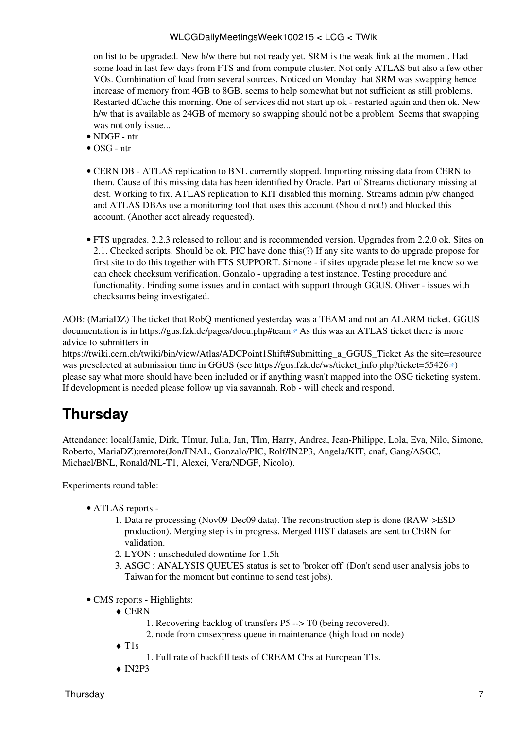on list to be upgraded. New h/w there but not ready yet. SRM is the weak link at the moment. Had some load in last few days from FTS and from compute cluster. Not only ATLAS but also a few other VOs. Combination of load from several sources. Noticed on Monday that SRM was swapping hence increase of memory from 4GB to 8GB. seems to help somewhat but not sufficient as still problems. Restarted dCache this morning. One of services did not start up ok - restarted again and then ok. New h/w that is available as 24GB of memory so swapping should not be a problem. Seems that swapping was not only issue...

- NDGF ntr
- OSG ntr
- CERN DB ATLAS replication to BNL currerntly stopped. Importing missing data from CERN to them. Cause of this missing data has been identified by Oracle. Part of Streams dictionary missing at dest. Working to fix. ATLAS replication to KIT disabled this morning. Streams admin p/w changed and ATLAS DBAs use a monitoring tool that uses this account (Should not!) and blocked this account. (Another acct already requested).
- FTS upgrades. 2.2.3 released to rollout and is recommended version. Upgrades from 2.2.0 ok. Sites on 2.1. Checked scripts. Should be ok. PIC have done this(?) If any site wants to do upgrade propose for first site to do this together with FTS SUPPORT. Simone - if sites upgrade please let me know so we can check checksum verification. Gonzalo - upgrading a test instance. Testing procedure and functionality. Finding some issues and in contact with support through GGUS. Oliver - issues with checksums being investigated.

AOB: ([MariaDZ\)](https://twiki.cern.ch/twiki/bin/edit/LCG/MariaDZ?topicparent=LCG.WLCGDailyMeetingsWeek100215;nowysiwyg=1) The ticket that [RobQ](https://twiki.cern.ch/twiki/bin/edit/LCG/RobQ?topicparent=LCG.WLCGDailyMeetingsWeek100215;nowysiwyg=1) mentioned yesterday was a TEAM and not an ALARM ticket. GGUS documentation is in <https://gus.fzk.de/pages/docu.php#team> As this was an ATLAS ticket there is more advice to submitters in

[https://twiki.cern.ch/twiki/bin/view/Atlas/ADCPoint1Shift#Submitting\\_a\\_GGUS\\_Ticket](https://twiki.cern.ch/twiki/bin/view/Atlas/ADCPoint1Shift#Submitting_a_GGUS_Ticket) As the site=resource was preselected at submission time in GGUS (see https://gus.fzk.de/ws/ticket info.php?ticket=55426 $\degree$ ) please say what more should have been included or if anything wasn't mapped into the OSG ticketing system. If development is needed please follow up via savannah. Rob - will check and respond.

# <span id="page-7-0"></span>**Thursday**

Attendance: local(Jamie, Dirk, TImur, Julia, Jan, TIm, Harry, Andrea, Jean-Philippe, Lola, Eva, Nilo, Simone, Roberto, [MariaDZ\)](https://twiki.cern.ch/twiki/bin/edit/LCG/MariaDZ?topicparent=LCG.WLCGDailyMeetingsWeek100215;nowysiwyg=1);remote(Jon/FNAL, Gonzalo/PIC, Rolf/IN2P3, Angela/KIT, cnaf, Gang/ASGC, Michael/BNL, Ronald/NL-T1, Alexei, Vera/NDGF, Nicolo).

Experiments round table:

- ATLAS [reports](https://twiki.cern.ch/twiki/bin/view/Atlas/ADCOperationsDailyReports)  •
	- 1. Data re-processing (Nov09-Dec09 data). The reconstruction step is done (RAW->ESD production). Merging step is in progress. Merged HIST datasets are sent to CERN for validation.
	- 2. LYON : unscheduled downtime for 1.5h
	- ASGC : ANALYSIS QUEUES status is set to 'broker off' (Don't send user analysis jobs to 3. Taiwan for the moment but continue to send test jobs).
- CMS [reports](https://twiki.cern.ch/twiki/bin/view/CMS/FacOps_WLCGdailyreports) Highlights:
	- ◆ CERN
		- 1. Recovering backlog of transfers P5 --> T0 (being recovered).
		- 2. node from cmsexpress queue in maintenance (high load on node)
	- T1s ♦
		- 1. Full rate of backfill tests of [CREAM](https://twiki.cern.ch/twiki/bin/view/LCG/CREAM) CEs at European T1s.
	- $\triangleleft$  [IN2P3](https://twiki.cern.ch/twiki/bin/view/LCG/IN2P3)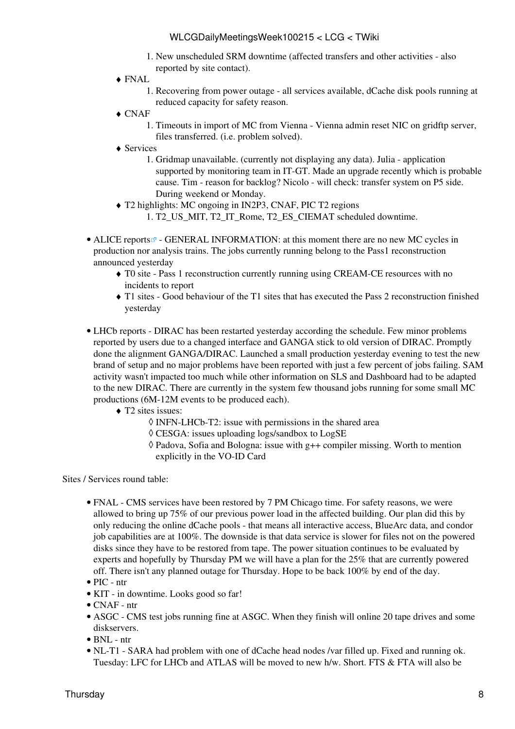- 1. New unscheduled SRM downtime (affected transfers and other activities also reported by site contact).
- FNAL ♦
	- 1. Recovering from power outage all services available, dCache disk pools running at reduced capacity for safety reason.
- CNAF ♦
	- 1. Timeouts in import of MC from Vienna Vienna admin reset NIC on gridftp server, files transferred. (i.e. problem solved).
- Services ♦
	- 1. Gridmap unavailable. (currently not displaying any data). Julia application supported by monitoring team in IT-GT. Made an upgrade recently which is probable cause. Tim - reason for backlog? Nicolo - will check: transfer system on P5 side. During weekend or Monday.
- T2 highlights: MC ongoing in [IN2P3,](https://twiki.cern.ch/twiki/bin/view/LCG/IN2P3) CNAF, PIC T2 regions ♦
	- 1. T2\_US\_MIT, T2\_IT\_Rome, T2\_ES\_CIEMAT scheduled downtime.
- ALICE [reports](http://alien2.cern.ch/index.php?option=com_content&view=article&id=68&Itemid=119)<sup>®</sup> GENERAL INFORMATION: at this moment there are no new MC cycles in production nor analysis trains. The jobs currently running belong to the Pass1 reconstruction announced yesterday
	- T0 site Pass 1 reconstruction currently running using [CREAM-](https://twiki.cern.ch/twiki/bin/view/LCG/CREAM)CE resources with no ♦ incidents to report
	- T1 sites Good behaviour of the T1 sites that has executed the Pass 2 reconstruction finished ♦ yesterday
- LHCb [reports](https://twiki.cern.ch/twiki/bin/view/LHCb/ProductionOperationsWLCGdailyReports)  DIRAC has been restarted yesterday according the schedule. Few minor problems reported by users due to a changed interface and GANGA stick to old version of DIRAC. Promptly done the alignment GANGA/DIRAC. Launched a small production yesterday evening to test the new brand of setup and no major problems have been reported with just a few percent of jobs failing. SAM activity wasn't impacted too much while other information on SLS and Dashboard had to be adapted to the new DIRAC. There are currently in the system few thousand jobs running for some small MC productions (6M-12M events to be produced each).
	- T2 sites issues: ♦
		- ◊ INFN-LHCb-T2: issue with permissions in the shared area
		- ◊ CESGA: issues uploading logs/sandbox to [LogSE](https://twiki.cern.ch/twiki/bin/edit/LCG/LogSE?topicparent=LCG.WLCGDailyMeetingsWeek100215;nowysiwyg=1)
		- Padova, Sofia and Bologna: issue with g++ compiler missing. Worth to mention ◊ explicitly in the VO-ID Card

- FNAL CMS services have been restored by 7 PM Chicago time. For safety reasons, we were allowed to bring up 75% of our previous power load in the affected building. Our plan did this by only reducing the online dCache pools - that means all interactive access, [BlueArc](https://twiki.cern.ch/twiki/bin/edit/LCG/BlueArc?topicparent=LCG.WLCGDailyMeetingsWeek100215;nowysiwyg=1) data, and condor job capabilities are at 100%. The downside is that data service is slower for files not on the powered disks since they have to be restored from tape. The power situation continues to be evaluated by experts and hopefully by Thursday PM we will have a plan for the 25% that are currently powered off. There isn't any planned outage for Thursday. Hope to be back 100% by end of the day.
- PIC ntr
- KIT in downtime. Looks good so far!
- CNAF ntr
- ASGC CMS test jobs running fine at ASGC. When they finish will online 20 tape drives and some diskservers.
- BNL ntr
- NL-T1 SARA had problem with one of dCache head nodes /var filled up. Fixed and running ok. Tuesday: LFC for LHCb and ATLAS will be moved to new h/w. Short. FTS & FTA will also be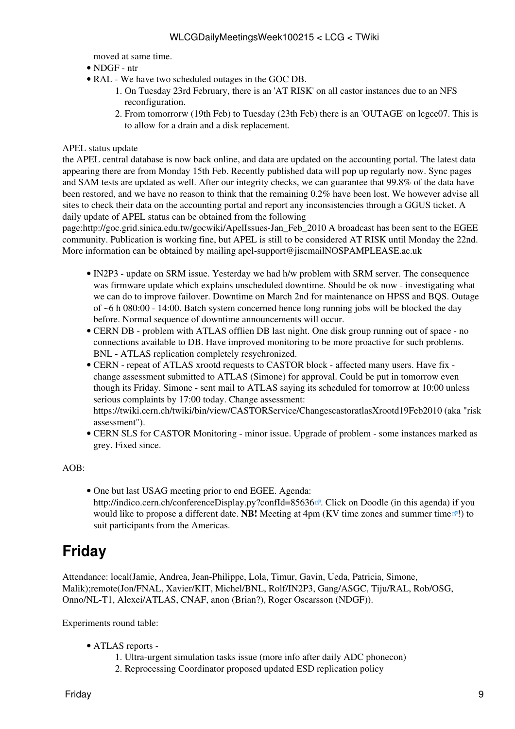moved at same time.

- NDGF ntr
- [RAL](https://twiki.cern.ch/twiki/bin/view/LCG/RAL) We have two scheduled outages in the GOC DB.
	- 1. On Tuesday 23rd February, there is an 'AT RISK' on all castor instances due to an NFS reconfiguration.
	- 2. From tomorrorw (19th Feb) to Tuesday (23th Feb) there is an 'OUTAGE' on lcgce07. This is to allow for a drain and a disk replacement.

#### APEL status update

the APEL central database is now back online, and data are updated on the accounting portal. The latest data appearing there are from Monday 15th Feb. Recently published data will pop up regularly now. Sync pages and SAM tests are updated as well. After our integrity checks, we can guarantee that 99.8% of the data have been restored, and we have no reason to think that the remaining 0.2% have been lost. We however advise all sites to check their data on the accounting portal and report any inconsistencies through a GGUS ticket. A daily update of APEL status can be obtained from the following

page:http://goc.grid.sinica.edu.tw/gocwiki/ApelIssues-Jan\_Feb\_2010 A broadcast has been sent to the EGEE community. Publication is working fine, but APEL is still to be considered AT RISK until Monday the 22nd. More information can be obtained by mailing [apel-support@jiscmailNOSPAMPLEASE.ac.uk](mailto:apel-support@jiscmailNOSPAMPLEASE.ac.uk)

- [IN2P3](https://twiki.cern.ch/twiki/bin/view/LCG/IN2P3)  update on SRM issue. Yesterday we had h/w problem with SRM server. The consequence was firmware update which explains unscheduled downtime. Should be ok now - investigating what we can do to improve failover. Downtime on March 2nd for maintenance on HPSS and BQS. Outage of ~6 h 080:00 - 14:00. Batch system concerned hence long running jobs will be blocked the day before. Normal sequence of downtime announcements will occur.
- CERN DB problem with ATLAS offlien DB last night. One disk group running out of space no connections available to DB. Have improved monitoring to be more proactive for such problems. BNL - ATLAS replication completely resychronized.
- CERN repeat of ATLAS xrootd requests to CASTOR block affected many users. Have fix • change assessment submitted to ATLAS (Simone) for approval. Could be put in tomorrow even though its Friday. Simone - sent mail to ATLAS saying its scheduled for tomorrow at 10:00 unless serious complaints by 17:00 today. Change assessment: <https://twiki.cern.ch/twiki/bin/view/CASTORService/ChangescastoratlasXrootd19Feb2010>(aka "risk assessment").
- CERN SLS for CASTOR Monitoring minor issue. Upgrade of problem some instances marked as grey. Fixed since.

AOB:

• One but last USAG meeting prior to end EGEE. Agenda: <http://indico.cern.ch/conferenceDisplay.py?confId=85636><sup>7</sup>. Click on Doodle (in this agenda) if you would like to propose a different date. **NB!** Meeting at 4pm (KV time zones and [summer time](http://www.worldtimezone.com/daylight.html) <sup>1</sup>!) to suit participants from the Americas.

## <span id="page-9-0"></span>**Friday**

Attendance: local(Jamie, Andrea, Jean-Philippe, Lola, Timur, Gavin, Ueda, Patricia, Simone, Malik);remote(Jon/FNAL, Xavier/KIT, Michel/BNL, Rolf/IN2P3, Gang/ASGC, Tiju/RAL, Rob/OSG, Onno/NL-T1, Alexei/ATLAS, CNAF, anon (Brian?), Roger Oscarsson (NDGF)).

Experiments round table:

- ATLAS [reports](https://twiki.cern.ch/twiki/bin/view/Atlas/ADCOperationsDailyReports)  •
	- 1. Ultra-urgent simulation tasks issue (more info after daily ADC phonecon)
	- 2. Reprocessing Coordinator proposed updated ESD replication [policy](https://twiki.cern.ch/twiki/bin/view/Atlas/ADCDataReproFeb10#Data_Replication_Policy)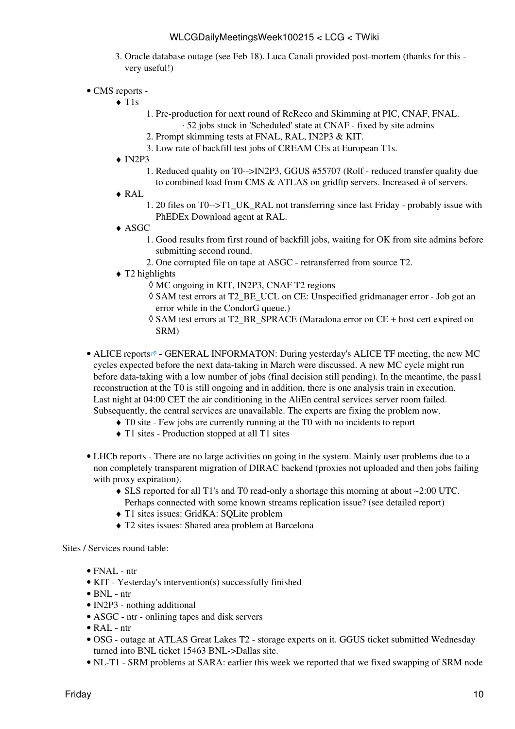- 3. Oracle database outage (see Feb 18). Luca Canali provided post-mortem (thanks for this very useful!)
- CMS [reports](https://twiki.cern.ch/twiki/bin/view/CMS/FacOps_WLCGdailyreports) -

T1s ♦

- 1. Pre-production for next round of [ReReco](https://twiki.cern.ch/twiki/bin/edit/LCG/ReReco?topicparent=LCG.WLCGDailyMeetingsWeek100215;nowysiwyg=1) and Skimming at PIC, CNAF, FNAL. ⋅ 52 jobs stuck in 'Scheduled' state at CNAF - fixed by site admins
- 2. Prompt skimming tests at FNAL, [RAL](https://twiki.cern.ch/twiki/bin/view/LCG/RAL), [IN2P3](https://twiki.cern.ch/twiki/bin/view/LCG/IN2P3) & KIT.
- 3. Low rate of backfill test jobs of [CREAM](https://twiki.cern.ch/twiki/bin/view/LCG/CREAM) CEs at European T1s.
- $\triangleleft$  [IN2P3](https://twiki.cern.ch/twiki/bin/view/LCG/IN2P3)
	- Reduced quality on T0-->IN2P3, GGUS #55707 (Rolf reduced transfer quality due 1. to combined load from CMS & ATLAS on gridftp servers. Increased # of servers.
- [RAL](https://twiki.cern.ch/twiki/bin/view/LCG/RAL) ♦
	- 1. 20 files on T0-->T1\_UK\_RAL not transferring since last Friday probably issue with [PhEDEx](https://twiki.cern.ch/twiki/bin/view/LCG/PhEDEx) Download agent at [RAL](https://twiki.cern.ch/twiki/bin/view/LCG/RAL).
- ASGC ♦
	- Good results from first round of backfill jobs, waiting for OK from site admins before 1. submitting second round.
	- 2. One corrupted file on tape at ASGC retransferred from source T2.
- T2 highlights ♦
	- ◊ MC ongoing in KIT, [IN2P3](https://twiki.cern.ch/twiki/bin/view/LCG/IN2P3), CNAF T2 regions
	- SAM test errors at T2\_BE\_UCL on CE: Unspecified gridmanager error Job got an ◊ error while in the [CondorG](https://twiki.cern.ch/twiki/bin/edit/LCG/CondorG?topicparent=LCG.WLCGDailyMeetingsWeek100215;nowysiwyg=1) queue.)
	- SAM test errors at T2\_BR\_SPRACE (Maradona error on CE + host cert expired on ◊ SRM)
- ALICE [reports](http://alien2.cern.ch/index.php?option=com_content&view=article&id=68&Itemid=119)<sup>®</sup> GENERAL INFORMATON: During yesterday's ALICE TF meeting, the new MC cycles expected before the next data-taking in March were discussed. A new MC cycle might run before data-taking with a low number of jobs (final decision still pending). In the meantime, the pass1 reconstruction at the T0 is still ongoing and in addition, there is one analysis train in execution. Last night at 04:00 CET the air conditioning in the [AliEn](https://twiki.cern.ch/twiki/bin/edit/LCG/AliEn?topicparent=LCG.WLCGDailyMeetingsWeek100215;nowysiwyg=1) central services server room failed. Subsequently, the central services are unavailable. The experts are fixing the problem now.
	- ♦ T0 site Few jobs are currently running at the T0 with no incidents to report
	- ♦ T1 sites Production stopped at all T1 sites
- LHCb [reports](https://twiki.cern.ch/twiki/bin/view/LHCb/ProductionOperationsWLCGdailyReports)  There are no large activities on going in the system. Mainly user problems due to a non completely transparent migration of DIRAC backend (proxies not uploaded and then jobs failing with proxy expiration).
	- SLS reported for all T1's and T0 read-only a shortage this morning at about ~2:00 UTC. ♦ Perhaps connected with some known streams replication issue? (see detailed report)
	- ♦ T1 sites issues: [GridKA](https://twiki.cern.ch/twiki/bin/edit/LCG/GridKA?topicparent=LCG.WLCGDailyMeetingsWeek100215;nowysiwyg=1): SQLite problem
	- ♦ T2 sites issues: Shared area problem at Barcelona

- FNAL ntr
- KIT Yesterday's intervention(s) successfully finished
- $\bullet$  BNL ntr
- [IN2P3](https://twiki.cern.ch/twiki/bin/view/LCG/IN2P3)  nothing additional
- ASGC ntr onlining tapes and disk servers
- [RAL](https://twiki.cern.ch/twiki/bin/view/LCG/RAL) ntr
- OSG outage at ATLAS Great Lakes T2 storage experts on it. GGUS ticket submitted Wednesday turned into BNL ticket 15463 BNL->Dallas site.
- NL-T1 SRM problems at SARA: earlier this week we reported that we fixed swapping of SRM node